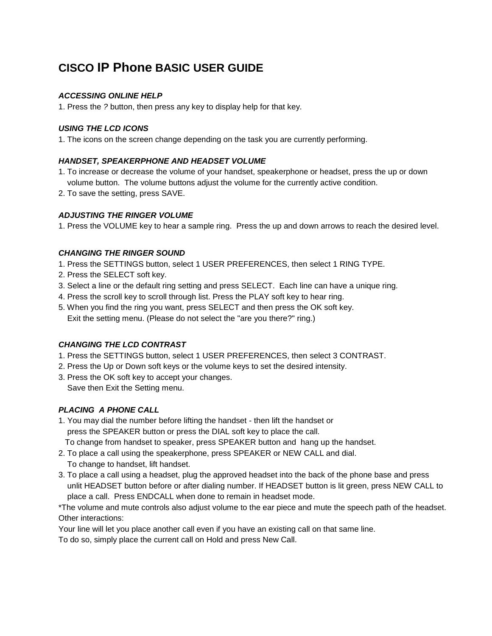# **CISCO IP Phone BASIC USER GUIDE**

## *ACCESSING ONLINE HELP*

1. Press the *?* button, then press any key to display help for that key.

## *USING THE LCD ICONS*

1. The icons on the screen change depending on the task you are currently performing.

## *HANDSET, SPEAKERPHONE AND HEADSET VOLUME*

- 1. To increase or decrease the volume of your handset, speakerphone or headset, press the up or down volume button. The volume buttons adjust the volume for the currently active condition.
- 2. To save the setting, press SAVE.

## *ADJUSTING THE RINGER VOLUME*

1. Press the VOLUME key to hear a sample ring. Press the up and down arrows to reach the desired level.

#### *CHANGING THE RINGER SOUND*

- 1. Press the SETTINGS button, select 1 USER PREFERENCES, then select 1 RING TYPE.
- 2. Press the SELECT soft key.
- 3. Select a line or the default ring setting and press SELECT. Each line can have a unique ring.
- 4. Press the scroll key to scroll through list. Press the PLAY soft key to hear ring.
- 5. When you find the ring you want, press SELECT and then press the OK soft key. Exit the setting menu. (Please do not select the "are you there?" ring.)

### *CHANGING THE LCD CONTRAST*

- 1. Press the SETTINGS button, select 1 USER PREFERENCES, then select 3 CONTRAST.
- 2. Press the Up or Down soft keys or the volume keys to set the desired intensity.
- 3. Press the OK soft key to accept your changes. Save then Exit the Setting menu.

# *PLACING A PHONE CALL*

- 1. You may dial the number before lifting the handset then lift the handset or press the SPEAKER button or press the DIAL soft key to place the call.
	- To change from handset to speaker, press SPEAKER button and hang up the handset.
- 2. To place a call using the speakerphone, press SPEAKER or NEW CALL and dial. To change to handset, lift handset.
- 3. To place a call using a headset, plug the approved headset into the back of the phone base and press unlit HEADSET button before or after dialing number. If HEADSET button is lit green, press NEW CALL to place a call. Press ENDCALL when done to remain in headset mode.

\*The volume and mute controls also adjust volume to the ear piece and mute the speech path of the headset. Other interactions:

Your line will let you place another call even if you have an existing call on that same line.

To do so, simply place the current call on Hold and press New Call.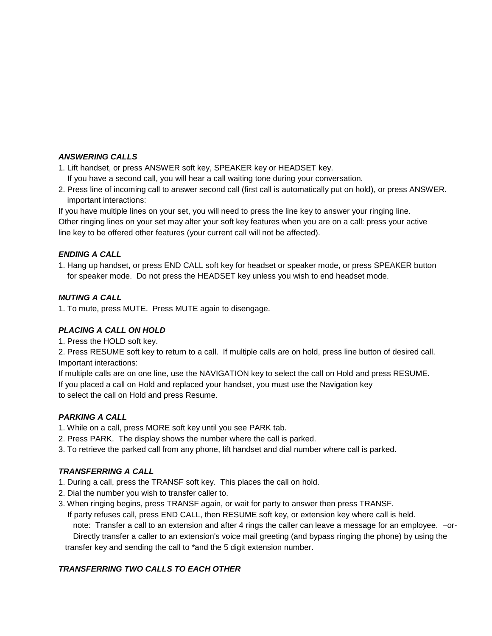### *ANSWERING CALLS*

- 1. Lift handset, or press ANSWER soft key, SPEAKER key or HEADSET key. If you have a second call, you will hear a call waiting tone during your conversation.
- 2. Press line of incoming call to answer second call (first call is automatically put on hold), or press ANSWER. important interactions:

If you have multiple lines on your set, you will need to press the line key to answer your ringing line. Other ringing lines on your set may alter your soft key features when you are on a call: press your active line key to be offered other features (your current call will not be affected).

## *ENDING A CALL*

1. Hang up handset, or press END CALL soft key for headset or speaker mode, or press SPEAKER button for speaker mode. Do not press the HEADSET key unless you wish to end headset mode.

## *MUTING A CALL*

1. To mute, press MUTE. Press MUTE again to disengage.

#### *PLACING A CALL ON HOLD*

1. Press the HOLD soft key.

2. Press RESUME soft key to return to a call. If multiple calls are on hold, press line button of desired call. Important interactions:

If multiple calls are on one line, use the NAVIGATION key to select the call on Hold and press RESUME. If you placed a call on Hold and replaced your handset, you must use the Navigation key to select the call on Hold and press Resume.

### *PARKING A CALL*

- 1. While on a call, press MORE soft key until you see PARK tab.
- 2. Press PARK. The display shows the number where the call is parked.
- 3. To retrieve the parked call from any phone, lift handset and dial number where call is parked.

# *TRANSFERRING A CALL*

- 1. During a call, press the TRANSF soft key. This places the call on hold.
- 2. Dial the number you wish to transfer caller to.
- 3. When ringing begins, press TRANSF again, or wait for party to answer then press TRANSF.
	- If party refuses call, press END CALL, then RESUME soft key, or extension key where call is held.

note: Transfer a call to an extension and after 4 rings the caller can leave a message for an employee. –or-Directly transfer a caller to an extension's voice mail greeting (and bypass ringing the phone) by using the transfer key and sending the call to \*and the 5 digit extension number.

#### *TRANSFERRING TWO CALLS TO EACH OTHER*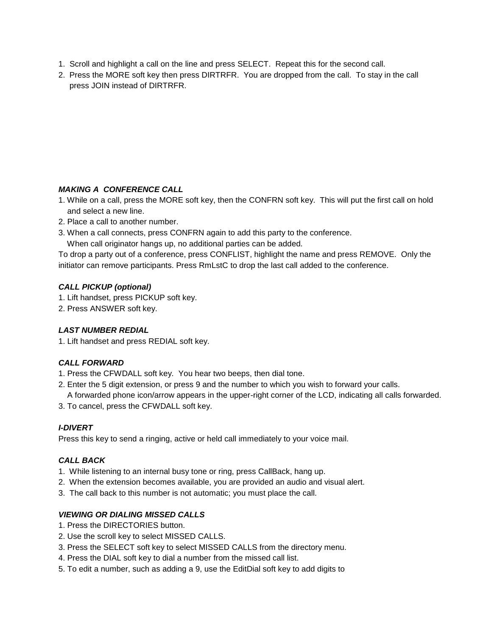- 1. Scroll and highlight a call on the line and press SELECT. Repeat this for the second call.
- 2. Press the MORE soft key then press DIRTRFR. You are dropped from the call. To stay in the call press JOIN instead of DIRTRFR.

# *MAKING A CONFERENCE CALL*

- 1. While on a call, press the MORE soft key, then the CONFRN soft key. This will put the first call on hold and select a new line.
- 2. Place a call to another number.
- 3. When a call connects, press CONFRN again to add this party to the conference.

When call originator hangs up, no additional parties can be added.

To drop a party out of a conference, press CONFLIST, highlight the name and press REMOVE. Only the initiator can remove participants. Press RmLstC to drop the last call added to the conference.

## *CALL PICKUP (optional)*

- 1. Lift handset, press PICKUP soft key.
- 2. Press ANSWER soft key.

# *LAST NUMBER REDIAL*

1. Lift handset and press REDIAL soft key.

# *CALL FORWARD*

- 1. Press the CFWDALL soft key. You hear two beeps, then dial tone.
- 2. Enter the 5 digit extension, or press 9 and the number to which you wish to forward your calls.
- A forwarded phone icon/arrow appears in the upper-right corner of the LCD, indicating all calls forwarded.
- 3. To cancel, press the CFWDALL soft key.

# *I-DIVERT*

Press this key to send a ringing, active or held call immediately to your voice mail.

#### *CALL BACK*

- 1. While listening to an internal busy tone or ring, press CallBack, hang up.
- 2. When the extension becomes available, you are provided an audio and visual alert.
- 3. The call back to this number is not automatic; you must place the call.

# *VIEWING OR DIALING MISSED CALLS*

- 1. Press the DIRECTORIES button.
- 2. Use the scroll key to select MISSED CALLS.
- 3. Press the SELECT soft key to select MISSED CALLS from the directory menu.
- 4. Press the DIAL soft key to dial a number from the missed call list.
- 5. To edit a number, such as adding a 9, use the EditDial soft key to add digits to